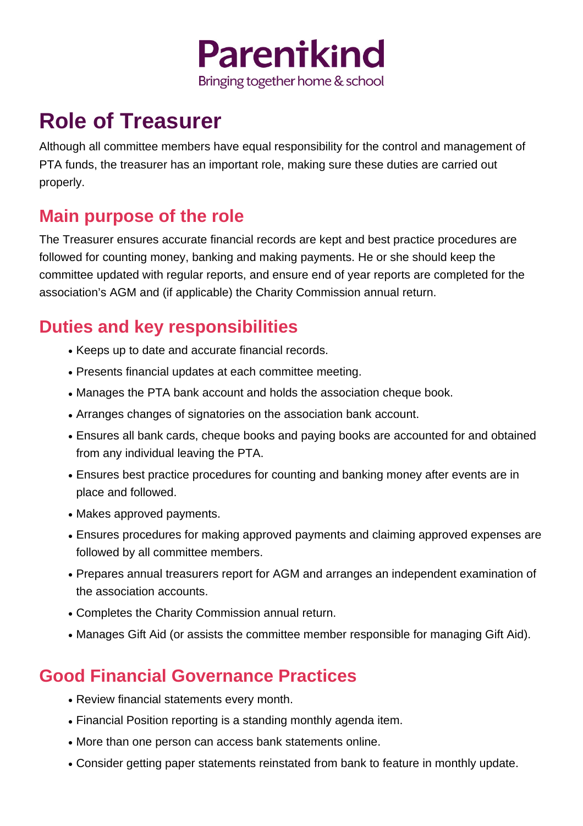

# **Role of Treasurer**

Although all committee members have equal responsibility for the control and management of PTA funds, the treasurer has an important role, making sure these duties are carried out properly.

#### **Main purpose of the role**

The Treasurer ensures accurate financial records are kept and best practice procedures are followed for counting money, banking and making payments. He or she should keep the committee updated with regular reports, and ensure end of year reports are completed for the association's AGM and (if applicable) the Charity Commission annual return.

## **Duties and key responsibilities**

- Keeps up to date and accurate financial records.
- Presents financial updates at each committee meeting.
- Manages the PTA bank account and holds the association cheque book.
- Arranges changes of signatories on the association bank account.
- Ensures all bank cards, cheque books and paying books are accounted for and obtained from any individual leaving the PTA.
- Ensures best practice procedures for counting and banking money after events are in place and followed.
- Makes approved payments.
- Ensures procedures for making approved payments and claiming approved expenses are followed by all committee members.
- Prepares annual treasurers report for AGM and arranges an independent examination of the association accounts.
- Completes the Charity Commission annual return.
- Manages Gift Aid (or assists the committee member responsible for managing Gift Aid).

### **Good Financial Governance Practices**

- Review financial statements every month.
- Financial Position reporting is a standing monthly agenda item.
- More than one person can access bank statements online.
- Consider getting paper statements reinstated from bank to feature in monthly update.